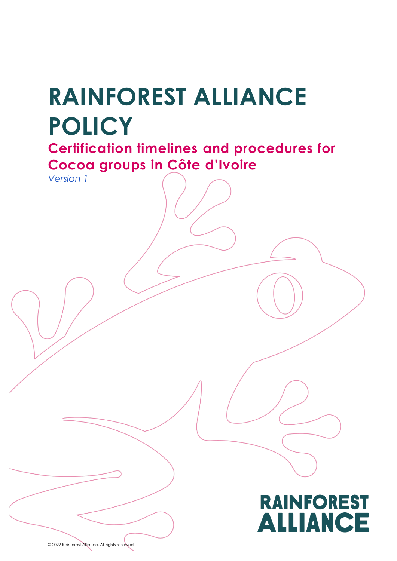# **RAINFOREST ALLIANCE POLICY**

**Certification timelines and procedures for Cocoa groups in Côte d'Ivoire**

*Version 1*



© 2022 Rainforest Alliance. All rights reserved.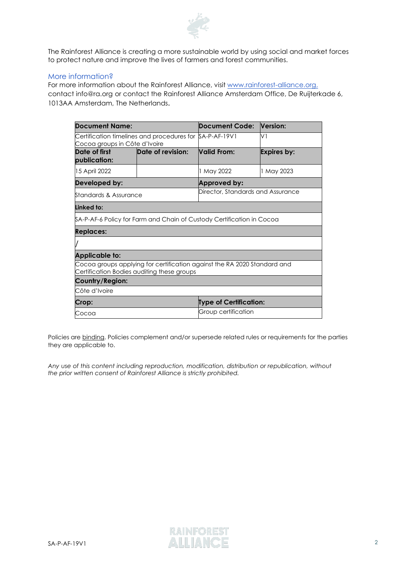

The Rainforest Alliance is creating a more sustainable world by using social and market forces to protect nature and improve the lives of farmers and forest communities.

#### More information?

For more information about the Rainforest Alliance, visit [www.rainforest-alliance.org,](http://www.rainforest-alliance.org/) contact [info@ra.org](mailto:info@ra.org) or contact the Rainforest Alliance Amsterdam Office, De Ruijterkade 6, 1013AA Amsterdam, The Netherlands.

| <b>Document Name:</b>                                                                                                  |                   | Document Code:                    | Version:           |  |
|------------------------------------------------------------------------------------------------------------------------|-------------------|-----------------------------------|--------------------|--|
| Certification timelines and procedures for SA-P-AF-19V1<br>Cocoa groups in Côte d'Ivoire                               |                   |                                   | V١                 |  |
| Date of first<br>publication:                                                                                          | Date of revision: | Valid From:                       | <b>Expires by:</b> |  |
| 15 April 2022                                                                                                          |                   | 1 May 2022                        | 1 May 2023         |  |
| Developed by:                                                                                                          |                   | <b>Approved by:</b>               |                    |  |
| Standards & Assurance                                                                                                  |                   | Director, Standards and Assurance |                    |  |
| Linked to:                                                                                                             |                   |                                   |                    |  |
| \$A-P-AF-6 Policy for Farm and Chain of Custody Certification in Cocoa                                                 |                   |                                   |                    |  |
| <b>Replaces:</b>                                                                                                       |                   |                                   |                    |  |
|                                                                                                                        |                   |                                   |                    |  |
| Applicable to:                                                                                                         |                   |                                   |                    |  |
| Cocoa groups applying for certification against the RA 2020 Standard and<br>Certification Bodies auditing these groups |                   |                                   |                    |  |
| Country/Region:                                                                                                        |                   |                                   |                    |  |
| Côte d'Ivoire                                                                                                          |                   |                                   |                    |  |
| Crop:                                                                                                                  |                   | Type of Certification:            |                    |  |
| Cocoa                                                                                                                  |                   | Group certification               |                    |  |

Policies are binding. Policies complement and/or supersede related rules or requirements for the parties they are applicable to.

*Any use of this content including reproduction, modification, distribution or republication, without the prior written consent of Rainforest Alliance is strictly prohibited.*

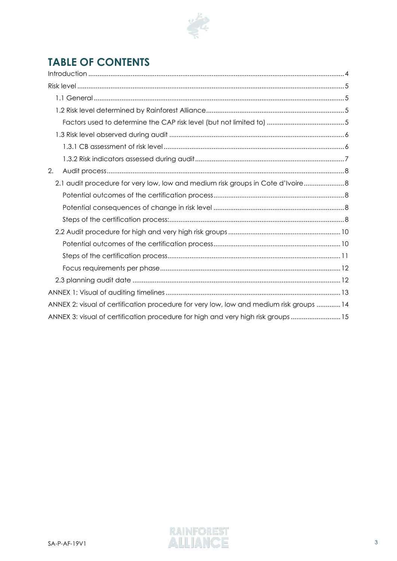

# **TABLE OF CONTENTS**

| 2.                                                                                      |
|-----------------------------------------------------------------------------------------|
| 2.1 audit procedure for very low, low and medium risk groups in Cote d'Ivoire 8         |
|                                                                                         |
|                                                                                         |
|                                                                                         |
|                                                                                         |
|                                                                                         |
|                                                                                         |
|                                                                                         |
|                                                                                         |
|                                                                                         |
| ANNEX 2: visual of certification procedure for very low, low and medium risk groups  14 |
| ANNEX 3: visual of certification procedure for high and very high risk groups 15        |

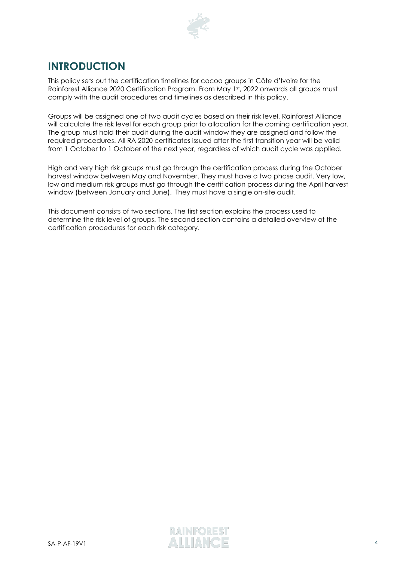

# <span id="page-3-0"></span>**INTRODUCTION**

This policy sets out the certification timelines for cocoa groups in Côte d'Ivoire for the Rainforest Alliance 2020 Certification Program. From May 1st, 2022 onwards all groups must comply with the audit procedures and timelines as described in this policy.

Groups will be assigned one of two audit cycles based on their risk level. Rainforest Alliance will calculate the risk level for each group prior to allocation for the coming certification year. The group must hold their audit during the audit window they are assigned and follow the required procedures. All RA 2020 certificates issued after the first transition year will be valid from 1 October to 1 October of the next year, regardless of which audit cycle was applied.

High and very high risk groups must go through the certification process during the October harvest window between May and November. They must have a two phase audit. Very low, low and medium risk groups must go through the certification process during the April harvest window (between January and June). They must have a single on-site audit.

This document consists of two sections. The first section explains the process used to determine the risk level of groups. The second section contains a detailed overview of the certification procedures for each risk category.

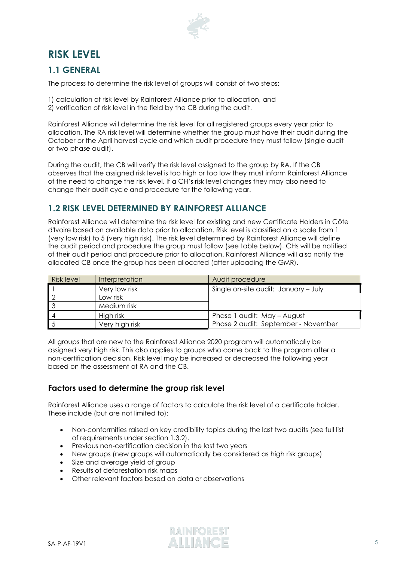

# <span id="page-4-0"></span>**RISK LEVEL**

## <span id="page-4-1"></span>**1.1 GENERAL**

The process to determine the risk level of groups will consist of two steps:

- 1) calculation of risk level by Rainforest Alliance prior to allocation, and
- 2) verification of risk level in the field by the CB during the audit.

Rainforest Alliance will determine the risk level for all registered groups every year prior to allocation. The RA risk level will determine whether the group must have their audit during the October or the April harvest cycle and which audit procedure they must follow (single audit or two phase audit).

During the audit, the CB will verify the risk level assigned to the group by RA. If the CB observes that the assigned risk level is too high or too low they must inform Rainforest Alliance of the need to change the risk level. If a CH's risk level changes they may also need to change their audit cycle and procedure for the following year.

## <span id="page-4-2"></span>**1.2 RISK LEVEL DETERMINED BY RAINFOREST ALLIANCE**

Rainforest Alliance will determine the risk level for existing and new Certificate Holders in Côte d'Ivoire based on available data prior to allocation. Risk level is classified on a scale from 1 (very low risk) to 5 (very high risk). The risk level determined by Rainforest Alliance will define the audit period and procedure the group must follow (see table below). CHs will be notified of their audit period and procedure prior to allocation. Rainforest Alliance will also notify the allocated CB once the group has been allocated (after uploading the GMR).

| <b>Risk level</b> | Interpretation | Audit procedure                      |
|-------------------|----------------|--------------------------------------|
|                   | Very low risk  | Single on-site audit: January - July |
|                   | Low risk       |                                      |
|                   | Medium risk    |                                      |
|                   | High risk      | Phase 1 audit: May - August          |
|                   | Very high risk | Phase 2 audit: September - November  |

All groups that are new to the Rainforest Alliance 2020 program will automatically be assigned very high risk. This also applies to groups who come back to the program after a non-certification decision. Risk level may be increased or decreased the following year based on the assessment of RA and the CB.

## <span id="page-4-3"></span>**Factors used to determine the group risk level**

Rainforest Alliance uses a range of factors to calculate the risk level of a certificate holder. These include (but are not limited to):

- Non-conformities raised on key credibility topics during the last two audits (see full list of requirements under section 1.3.2).
- Previous non-certification decision in the last two years
- New groups (new groups will automatically be considered as high risk groups)
- Size and average yield of group
- Results of deforestation risk maps
- Other relevant factors based on data or observations

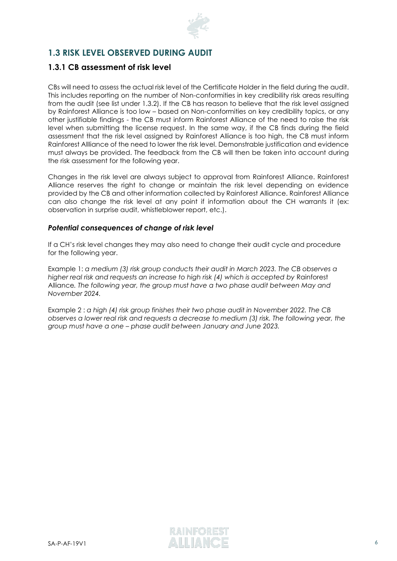

## <span id="page-5-0"></span>**1.3 RISK LEVEL OBSERVED DURING AUDIT**

## <span id="page-5-1"></span>**1.3.1 CB assessment of risk level**

CBs will need to assess the actual risk level of the Certificate Holder in the field during the audit. This includes reporting on the number of Non-conformities in key credibility risk areas resulting from the audit (see list under 1.3.2). If the CB has reason to believe that the risk level assigned by Rainforest Alliance is too low – based on Non-conformities on key credibility topics, or any other justifiable findings - the CB must inform Rainforest Alliance of the need to raise the risk level when submitting the license request. In the same way, if the CB finds during the field assessment that the risk level assigned by Rainforest Alliance is too high, the CB must inform Rainforest Allliance of the need to lower the risk level. Demonstrable justification and evidence must always be provided. The feedback from the CB will then be taken into account during the risk assessment for the following year.

Changes in the risk level are always subject to approval from Rainforest Alliance. Rainforest Alliance reserves the right to change or maintain the risk level depending on evidence provided by the CB and other information collected by Rainforest Alliance. Rainforest Alliance can also change the risk level at any point if information about the CH warrants it (ex: observation in surprise audit, whistleblower report, etc.).

#### *Potential consequences of change of risk level*

If a CH's risk level changes they may also need to change their audit cycle and procedure for the following year.

Example 1: *a medium (3) risk group conducts their audit in March 2023. The CB observes a*  higher real risk and requests an increase to high risk (4) which is accepted by Rainforest Alliance*. The following year, the group must have a two phase audit between May and November 2024.*

Example 2 : *a high (4) risk group finishes their two phase audit in November 2022. The CB observes a lower real risk and requests a decrease to medium (3) risk. The following year, the group must have a one – phase audit between January and June 2023.* 

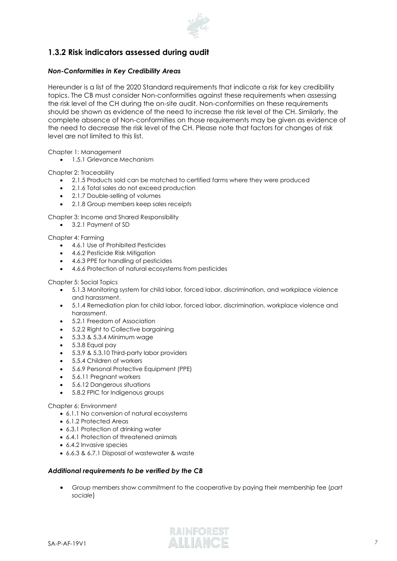

## <span id="page-6-0"></span>**1.3.2 Risk indicators assessed during audit**

#### *Non-Conformities in Key Credibility Areas*

Hereunder is a list of the 2020 Standard requirements that indicate a risk for key credibility topics. The CB must consider Non-conformities against these requirements when assessing the risk level of the CH during the on-site audit. Non-conformities on these requirements should be shown as evidence of the need to increase the risk level of the CH. Similarly, the complete absence of Non-conformities on those requirements may be given as evidence of the need to decrease the risk level of the CH. Please note that factors for changes of risk level are not limited to this list.

Chapter 1: Management

• 1.5.1 Grievance Mechanism

Chapter 2: Traceability

- 2.1.5 Products sold can be matched to certified farms where they were produced
- 2.1.6 Total sales do not exceed production
- 2.1.7 Double-selling of volumes
- 2.1.8 Group members keep sales receipts

Chapter 3: Income and Shared Responsibility

• 3.2.1 Payment of SD

Chapter 4: Farming

- 4.6.1 Use of Prohibited Pesticides
- 4.6.2 Pesticide Risk Mitigation
- 4.6.3 PPE for handling of pesticides
- 4.6.6 Protection of natural ecosystems from pesticides

#### Chapter 5: Social Topics

- 5.1.3 Monitoring system for child labor, forced labor, discrimination, and workplace violence and harassment.
- 5.1.4 Remediation plan for child labor, forced labor, discrimination, workplace violence and harassment.
- 5.2.1 Freedom of Association
- 5.2.2 Right to Collective bargaining
- 5.3.3 & 5.3.4 Minimum wage
- 5.3.8 Equal pay
- 5.3.9 & 5.3.10 Third-party labor providers
- 5.5.4 Children of workers
- 5.6.9 Personal Protective Equipment (PPE)
- 5.6.11 Pregnant workers
- 5.6.12 Dangerous situations
- 5.8.2 FPIC for Indigenous groups

#### Chapter 6: Environment

- 6.1.1 No conversion of natural ecosystems
- 6.1.2 Protected Areas
- 6.3.1 Protection of drinking water
- 6.4.1 Protection of threatened animals
- 6.4.2 Invasive species
- 6.6.3 & 6.7.1 Disposal of wastewater & waste

#### *Additional requirements to be verified by the CB*

• Group members show commitment to the cooperative by paying their membership fee (*part sociale*)

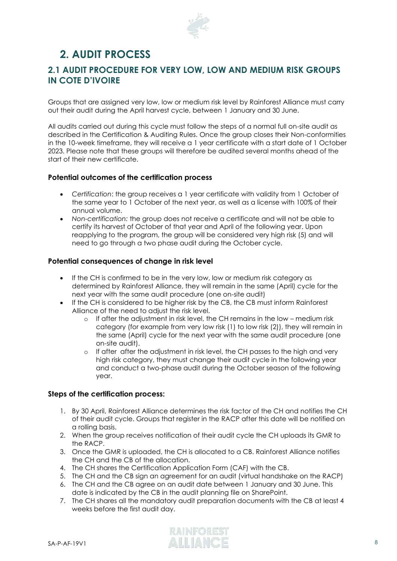

# <span id="page-7-0"></span>**2. AUDIT PROCESS**

## <span id="page-7-1"></span>**2.1 AUDIT PROCEDURE FOR VERY LOW, LOW AND MEDIUM RISK GROUPS IN COTE D'IVOIRE**

Groups that are assigned very low, low or medium risk level by Rainforest Alliance must carry out their audit during the April harvest cycle, between 1 January and 30 June.

All audits carried out during this cycle must follow the steps of a normal full on-site audit as described in the Certification & Auditing Rules. Once the group closes their Non-conformities in the 10-week timeframe, they will receive a 1 year certificate with a start date of 1 October 2023. Please note that these groups will therefore be audited several months ahead of the start of their new certificate.

#### <span id="page-7-2"></span>**Potential outcomes of the certification process**

- *Certification*: the group receives a 1 year certificate with validity from 1 October of the same year to 1 October of the next year, as well as a license with 100% of their annual volume.
- *Non-certification:* the group does not receive a certificate and will not be able to certify its harvest of October of that year and April of the following year. Upon reapplying to the program, the group will be considered very high risk (5) and will need to go through a two phase audit during the October cycle.

#### <span id="page-7-3"></span>**Potential consequences of change in risk level**

- If the CH is confirmed to be in the very low, low or medium risk category as determined by Rainforest Alliance, they will remain in the same (April) cycle for the next year with the same audit procedure (one on-site audit)
- If the CH is considered to be higher risk by the CB, the CB must inform Rainforest Alliance of the need to adjust the risk level.
	- o If after the adjustment in risk level, the CH remains in the low medium risk category (for example from very low risk (1) to low risk (2)), they will remain in the same (April) cycle for the next year with the same audit procedure (one on-site audit).
	- o If after after the adjustment in risk level, the CH passes to the high and very high risk category, they must change their audit cycle in the following year and conduct a two-phase audit during the October season of the following year.

#### <span id="page-7-4"></span>**Steps of the certification process:**

- 1. By 30 April, Rainforest Alliance determines the risk factor of the CH and notifies the CH of their audit cycle. Groups that register in the RACP after this date will be notified on a rolling basis.
- 2. When the group receives notification of their audit cycle the CH uploads its GMR to the RACP.
- 3. Once the GMR is uploaded, the CH is allocated to a CB. Rainforest Alliance notifies the CH and the CB of the allocation.
- 4. The CH shares the Certification Application Form (CAF) with the CB.
- 5. The CH and the CB sign an agreement for an audit (virtual handshake on the RACP)
- 6. The CH and the CB agree on an audit date between 1 January and 30 June. This date is indicated by the CB in the audit planning file on SharePoint.
- 7. The CH shares all the mandatory audit preparation documents with the CB at least 4 weeks before the first audit day.

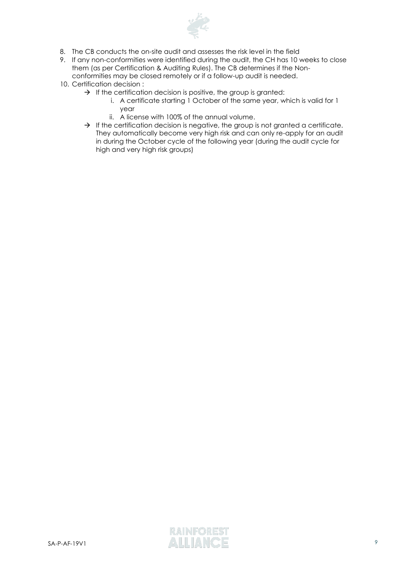

- 8. The CB conducts the on-site audit and assesses the risk level in the field
- 9. If any non-conformities were identified during the audit, the CH has 10 weeks to close them (as per Certification & Auditing Rules). The CB determines if the Nonconformities may be closed remotely or if a follow-up audit is needed.
- 10. Certification decision :
	- $\rightarrow$  If the certification decision is positive, the group is granted:
		- i. A certificate starting 1 October of the same year, which is valid for 1 year
		- ii. A license with 100% of the annual volume.
	- $\rightarrow$  If the certification decision is negative, the group is not granted a certificate. They automatically become very high risk and can only re-apply for an audit in during the October cycle of the following year (during the audit cycle for high and very high risk groups)

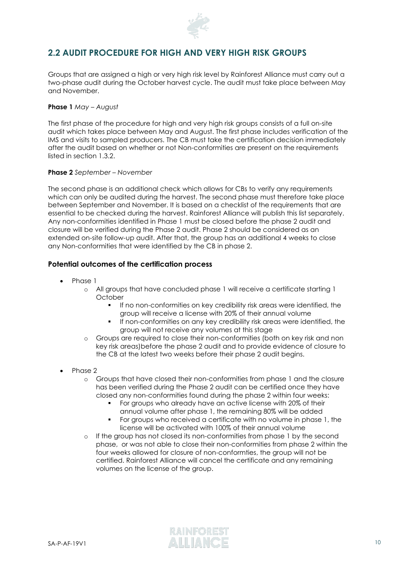

## <span id="page-9-0"></span>**2.2 AUDIT PROCEDURE FOR HIGH AND VERY HIGH RISK GROUPS**

Groups that are assigned a high or very high risk level by Rainforest Alliance must carry out a two-phase audit during the October harvest cycle. The audit must take place between May and November.

#### **Phase 1** *May – August*

The first phase of the procedure for high and very high risk groups consists of a full on-site audit which takes place between May and August. The first phase includes verification of the IMS and visits to sampled producers. The CB must take the certification decision immediately after the audit based on whether or not Non-conformities are present on the requirements listed in section 1.3.2.

#### **Phase 2** *September – November*

The second phase is an additional check which allows for CBs to verify any requirements which can only be audited during the harvest. The second phase must therefore take place between September and November. It is based on a checklist of the requirements that are essential to be checked during the harvest. Rainforest Alliance will publish this list separately. Any non-conformities identified in Phase 1 must be closed before the phase 2 audit and closure will be verified during the Phase 2 audit. Phase 2 should be considered as an extended on-site follow-up audit. After that, the group has an additional 4 weeks to close any Non-conformities that were identified by the CB in phase 2.

#### <span id="page-9-1"></span>**Potential outcomes of the certification process**

- Phase 1
	- o All groups that have concluded phase 1 will receive a certificate starting 1 **October** 
		- If no non-conformities on key credibility risk areas were identified, the group will receive a license with 20% of their annual volume
		- If non-conformities on any key credibility risk areas were identified, the group will not receive any volumes at this stage
	- o Groups are required to close their non-conformities (both on key risk and non key risk areas)before the phase 2 audit and to provide evidence of closure to the CB at the latest two weeks before their phase 2 audit begins.
- Phase 2
	- o Groups that have closed their non-conformities from phase 1 and the closure has been verified during the Phase 2 audit can be certified once they have closed any non-conformities found during the phase 2 within four weeks:
		- For groups who already have an active license with 20% of their annual volume after phase 1, the remaining 80% will be added
		- For groups who received a certificate with no volume in phase 1, the license will be activated with 100% of their annual volume
	- o If the group has not closed its non-conformities from phase 1 by the second phase, or was not able to close their non-conformities from phase 2 within the four weeks allowed for closure of non-conformties, the group will not be certified. Rainforest Alliance will cancel the certificate and any remaining volumes on the license of the group.

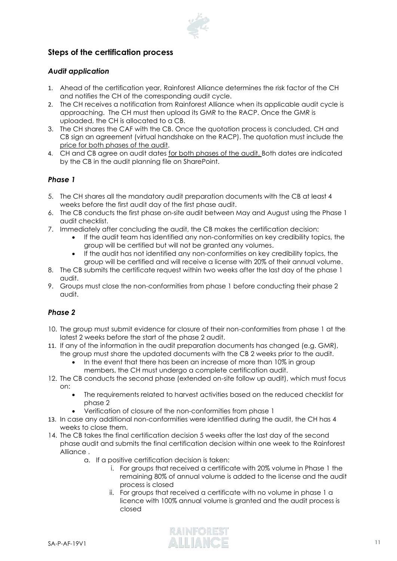

## <span id="page-10-0"></span>**Steps of the certification process**

#### *Audit application*

- 1. Ahead of the certification year, Rainforest Alliance determines the risk factor of the CH and notifies the CH of the corresponding audit cycle.
- 2. The CH receives a notification from Rainforest Alliance when its applicable audit cycle is approaching. The CH must then upload its GMR to the RACP. Once the GMR is uploaded, the CH is allocated to a CB.
- 3. The CH shares the CAF with the CB. Once the quotation process is concluded, CH and CB sign an agreement (virtual handshake on the RACP). The quotation must include the price for both phases of the audit.
- 4. CH and CB agree on audit dates for both phases of the audit. Both dates are indicated by the CB in the audit planning file on SharePoint.

#### *Phase 1*

- 5. The CH shares all the mandatory audit preparation documents with the CB at least 4 weeks before the first audit day of the first phase audit.
- 6. The CB conducts the first phase on-site audit between May and August using the Phase 1 audit checklist.
- 7. Immediately after concluding the audit, the CB makes the certification decision:
	- If the audit team has identified any non-conformities on key credibility topics, the group will be certified but will not be granted any volumes.
	- If the audit has not identified any non-conformities on key credibility topics, the group will be certified and will receive a license with 20% of their annual volume.
- 8. The CB submits the certificate request within two weeks after the last day of the phase 1 audit.
- 9. Groups must close the non-conformities from phase 1 before conducting their phase 2 audit.

#### *Phase 2*

- 10. The group must submit evidence for closure of their non-conformities from phase 1 at the latest 2 weeks before the start of the phase 2 audit.
- 11. If any of the information in the audit preparation documents has changed (e.g. GMR), the group must share the updated documents with the CB 2 weeks prior to the audit.
	- In the event that there has been an increase of more than 10% in group members, the CH must undergo a complete certification audit.
- 12. The CB conducts the second phase (extended on-site follow up audit), which must focus on:
	- The requirements related to harvest activities based on the reduced checklist for phase 2
	- Verification of closure of the non-conformities from phase 1
- 13. In case any additional non-conformities were identified during the audit, the CH has 4 weeks to close them.
- 14. The CB takes the final certification decision 5 weeks after the last day of the second phase audit and submits the final certification decision within one week to the Rainforest Alliance .
	- a. If a positive certification decision is taken:
		- i. For groups that received a certificate with 20% volume in Phase 1 the remaining 80% of annual volume is added to the license and the audit process is closed
		- ii. For groups that received a certificate with no volume in phase 1 a licence with 100% annual volume is granted and the audit process is closed

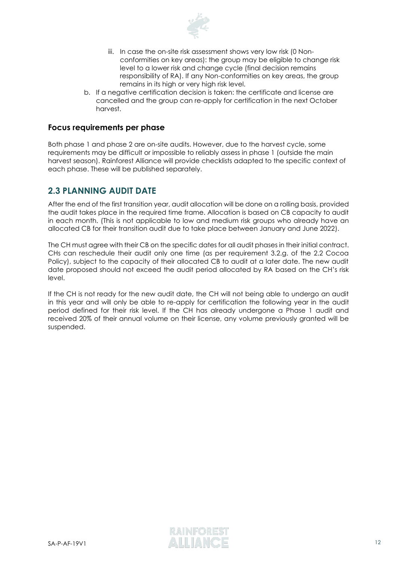

- iii. In case the on-site risk assessment shows very low risk (0 Nonconformities on key areas): the group may be eligible to change risk level to a lower risk and change cycle (final decision remains responsibility of RA). If any Non-conformities on key areas, the group remains in its high or very high risk level.
- b. If a negative certification decision is taken: the certificate and license are cancelled and the group can re-apply for certification in the next October harvest.

#### <span id="page-11-0"></span>**Focus requirements per phase**

Both phase 1 and phase 2 are on-site audits. However, due to the harvest cycle, some requirements may be difficult or impossible to reliably assess in phase 1 (outside the main harvest season). Rainforest Alliance will provide checklists adapted to the specific context of each phase. These will be published separately.

## <span id="page-11-1"></span>**2.3 PLANNING AUDIT DATE**

After the end of the first transition year, audit allocation will be done on a rolling basis, provided the audit takes place in the required time frame. Allocation is based on CB capacity to audit in each month. (This is not applicable to low and medium risk groups who already have an allocated CB for their transition audit due to take place between January and June 2022).

The CH must agree with their CB on the specific dates for all audit phases in their initial contract. CHs can reschedule their audit only one time (as per requirement 3.2.g. of the 2.2 Cocoa Policy), subject to the capacity of their allocated CB to audit at a later date. The new audit date proposed should not exceed the audit period allocated by RA based on the CH's risk level.

If the CH is not ready for the new audit date, the CH will not being able to undergo an audit in this year and will only be able to re-apply for certification the following year in the audit period defined for their risk level. If the CH has already undergone a Phase 1 audit and received 20% of their annual volume on their license, any volume previously granted will be suspended.

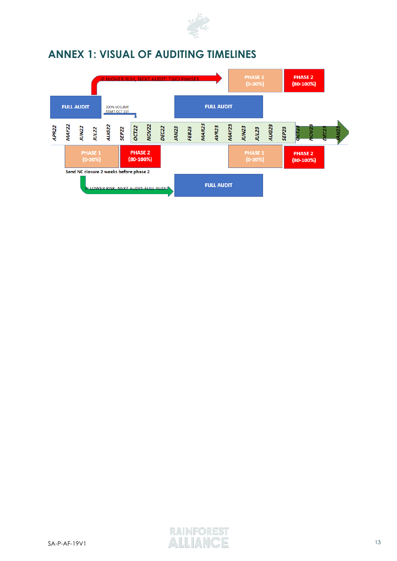

# <span id="page-12-0"></span>**ANNEX 1: VISUAL OF AUDITING TIMELINES**



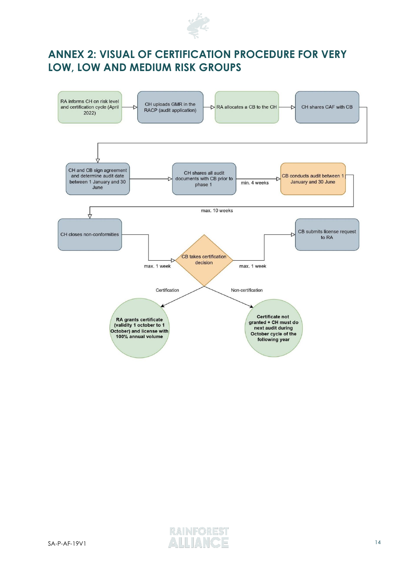

# <span id="page-13-0"></span>**ANNEX 2: VISUAL OF CERTIFICATION PROCEDURE FOR VERY LOW, LOW AND MEDIUM RISK GROUPS**